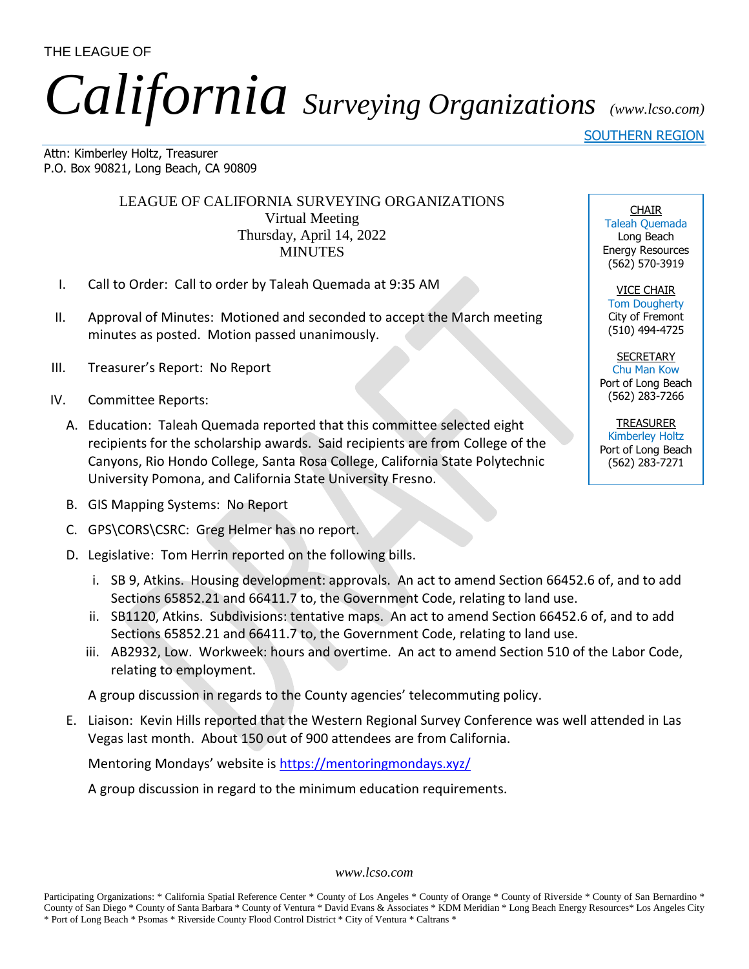THE LEAGUE OF

## *California Surveying Organizations (www.lcso.com)*

SOUTHERN REGION

Attn: Kimberley Holtz, Treasurer P.O. Box 90821, Long Beach, CA 90809

> LEAGUE OF CALIFORNIA SURVEYING ORGANIZATIONS Virtual Meeting Thursday, April 14, 2022 **MINUTES**

- I. Call to Order: Call to order by Taleah Quemada at 9:35 AM
- II. Approval of Minutes: Motioned and seconded to accept the March meeting minutes as posted. Motion passed unanimously.
- III. Treasurer's Report: No Report
- IV. Committee Reports:
	- A. Education: Taleah Quemada reported that this committee selected eight recipients for the scholarship awards. Said recipients are from College of the Canyons, Rio Hondo College, Santa Rosa College, California State Polytechnic University Pomona, and California State University Fresno.
	- B. GIS Mapping Systems: No Report
	- C. GPS\CORS\CSRC: Greg Helmer has no report.
	- D. Legislative: Tom Herrin reported on the following bills.
		- i. SB 9, Atkins. Housing development: approvals. An act to amend Section 66452.6 of, and to add Sections 65852.21 and 66411.7 to, the Government Code, relating to land use.
		- ii. SB1120, Atkins. Subdivisions: tentative maps. An act to amend Section 66452.6 of, and to add Sections 65852.21 and 66411.7 to, the Government Code, relating to land use.
		- iii. AB2932, Low. Workweek: hours and overtime. An act to amend Section 510 of the Labor Code, relating to employment.

A group discussion in regards to the County agencies' telecommuting policy.

E. Liaison: Kevin Hills reported that the Western Regional Survey Conference was well attended in Las Vegas last month. About 150 out of 900 attendees are from California.

Mentoring Mondays' website is<https://mentoringmondays.xyz/>

A group discussion in regard to the minimum education requirements.

*www.lcso.com*

CHAIR Taleah Quemada Long Beach Energy Resources (562) 570-3919

VICE CHAIR Tom Dougherty City of Fremont (510) 494-4725

**SECRETARY** Chu Man Kow Port of Long Beach (562) 283-7266

TREASURER Kimberley Holtz Port of Long Beach (562) 283-7271